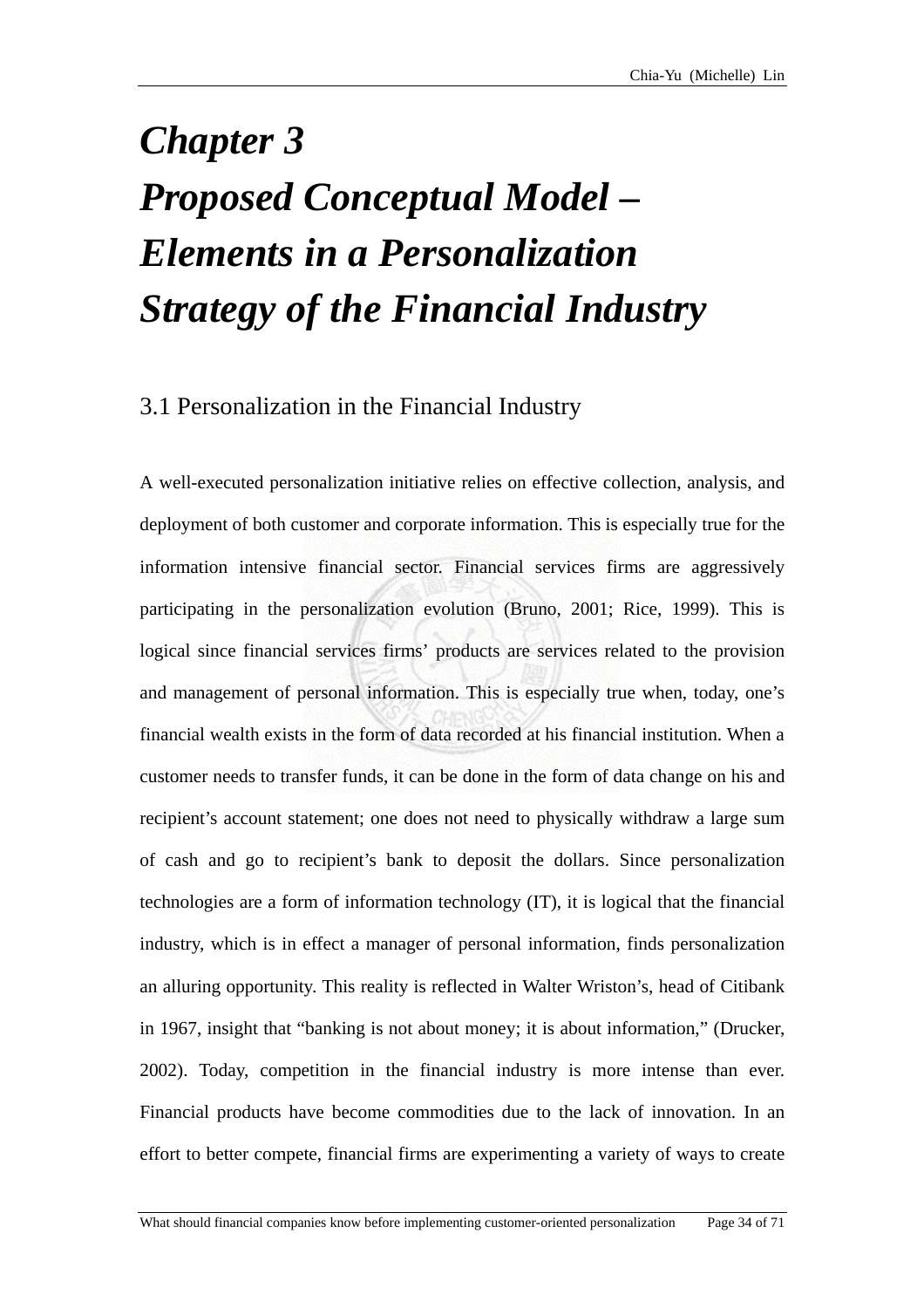## *Chapter 3 Proposed Conceptual Model – Elements in a Personalization Strategy of the Financial Industry*

## 3.1 Personalization in the Financial Industry

A well-executed personalization initiative relies on effective collection, analysis, and deployment of both customer and corporate information. This is especially true for the information intensive financial sector. Financial services firms are aggressively participating in the personalization evolution (Bruno, 2001; Rice, 1999). This is logical since financial services firms' products are services related to the provision and management of personal information. This is especially true when, today, one's financial wealth exists in the form of data recorded at his financial institution. When a customer needs to transfer funds, it can be done in the form of data change on his and recipient's account statement; one does not need to physically withdraw a large sum of cash and go to recipient's bank to deposit the dollars. Since personalization technologies are a form of information technology (IT), it is logical that the financial industry, which is in effect a manager of personal information, finds personalization an alluring opportunity. This reality is reflected in Walter Wriston's, head of Citibank in 1967, insight that "banking is not about money; it is about information," (Drucker, 2002). Today, competition in the financial industry is more intense than ever. Financial products have become commodities due to the lack of innovation. In an effort to better compete, financial firms are experimenting a variety of ways to create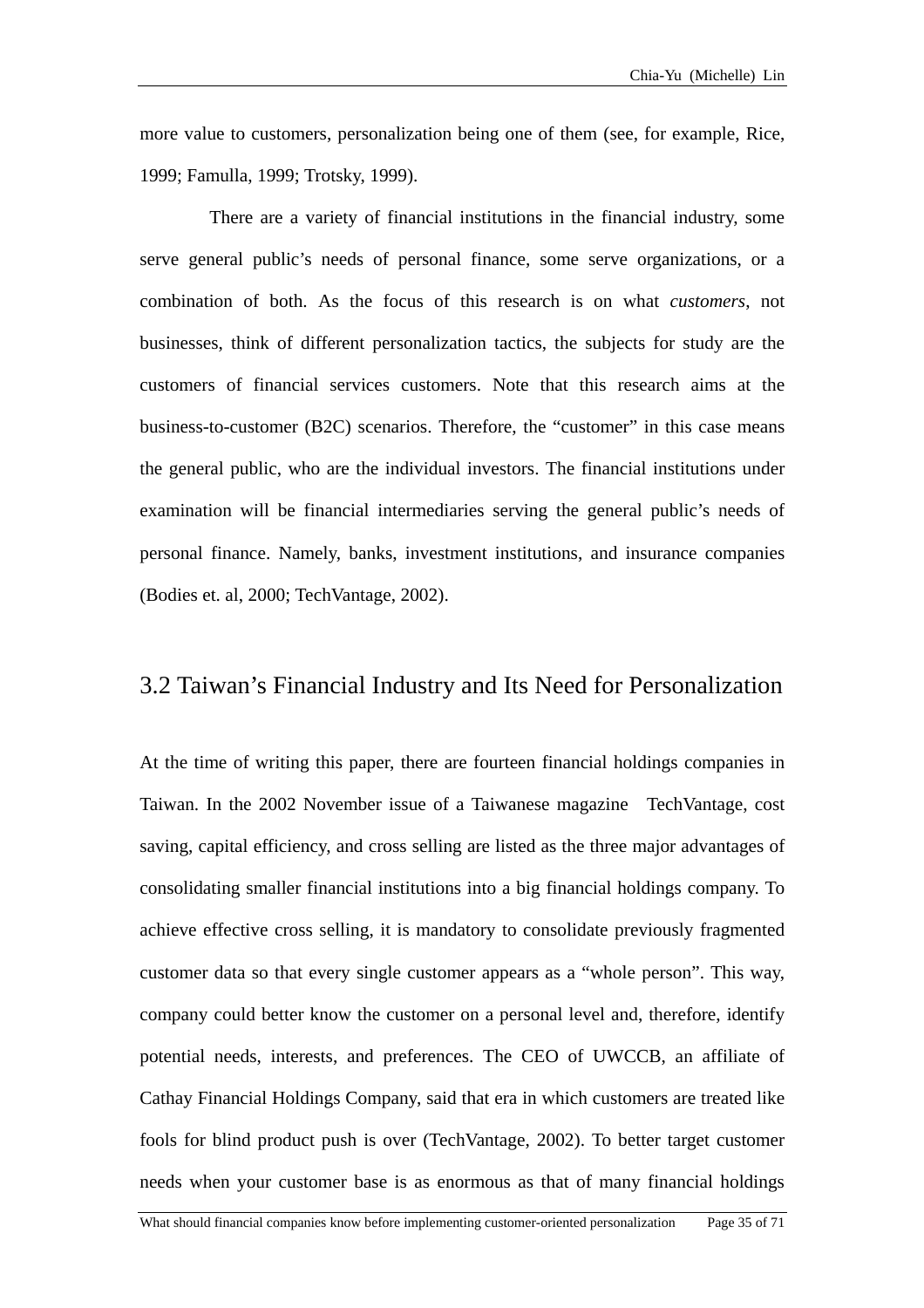more value to customers, personalization being one of them (see, for example, Rice, 1999; Famulla, 1999; Trotsky, 1999).

There are a variety of financial institutions in the financial industry, some serve general public's needs of personal finance, some serve organizations, or a combination of both. As the focus of this research is on what *customers*, not businesses, think of different personalization tactics, the subjects for study are the customers of financial services customers. Note that this research aims at the business-to-customer (B2C) scenarios. Therefore, the "customer" in this case means the general public, who are the individual investors. The financial institutions under examination will be financial intermediaries serving the general public's needs of personal finance. Namely, banks, investment institutions, and insurance companies (Bodies et. al, 2000; TechVantage, 2002).

## 3.2 Taiwan's Financial Industry and Its Need for Personalization

At the time of writing this paper, there are fourteen financial holdings companies in Taiwan. In the 2002 November issue of a Taiwanese magazine TechVantage, cost saving, capital efficiency, and cross selling are listed as the three major advantages of consolidating smaller financial institutions into a big financial holdings company. To achieve effective cross selling, it is mandatory to consolidate previously fragmented customer data so that every single customer appears as a "whole person". This way, company could better know the customer on a personal level and, therefore, identify potential needs, interests, and preferences. The CEO of UWCCB, an affiliate of Cathay Financial Holdings Company, said that era in which customers are treated like fools for blind product push is over (TechVantage, 2002). To better target customer needs when your customer base is as enormous as that of many financial holdings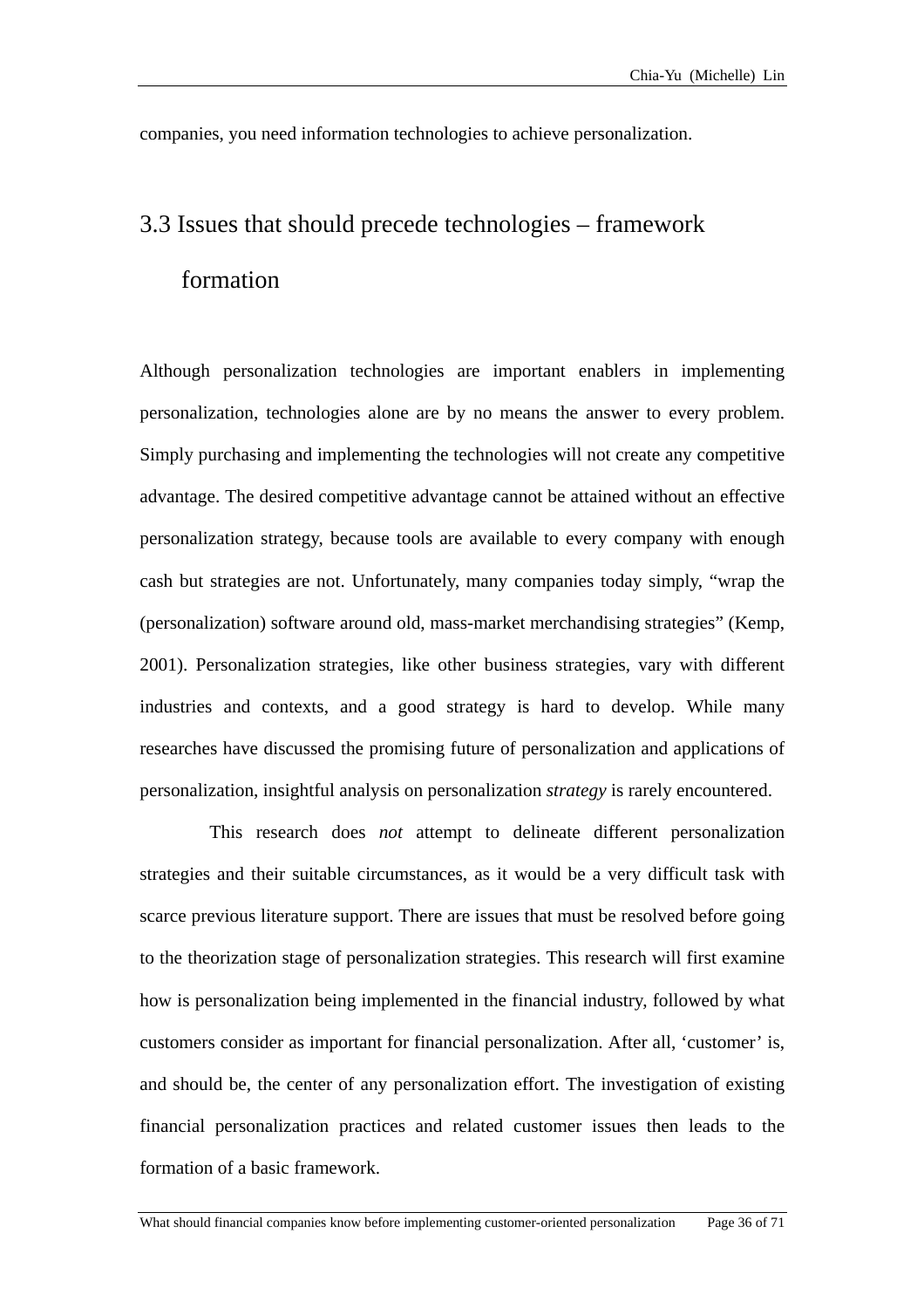companies, you need information technologies to achieve personalization.

## 3.3 Issu es that should precede technologies – framework formation

Although personalization technologies are important enablers in implementing personalization, technologies alone are by no means the answer to every problem. Simply purchasing and implementing the technologies will not create any competitive advantage. The desired competitive advantage cannot be attained without an effective personalization strategy, because tools are available to every company with enough cash but strategies are not. Unfortunately, many companies today simply, "wrap the (personalization) software around old, mass-market merchandising strategies" (Kemp, 2001). Personalization strategies, like other business strategies, vary with different industries and contexts, and a good strategy is hard to develop. While many researches have discussed the promising future of personalization and applications of personalization, insightful analysis on personalization *strategy* is rarely encountered.

This research does *not* attempt to delineate different personalization strategies and their suitable circumstances, as it would be a very difficult task with scarce previous literature support. There are issues that must be resolved before going to the theorization stage of personalization strategies. This research will first examine how is personalization being implemented in the financial industry, followed by what customers consider as important for financial personalization. After all, 'customer' is, and should be, the center of any personalization effort. The investigation of existing financial personalization practices and related customer issues then leads to the formation of a basic framework.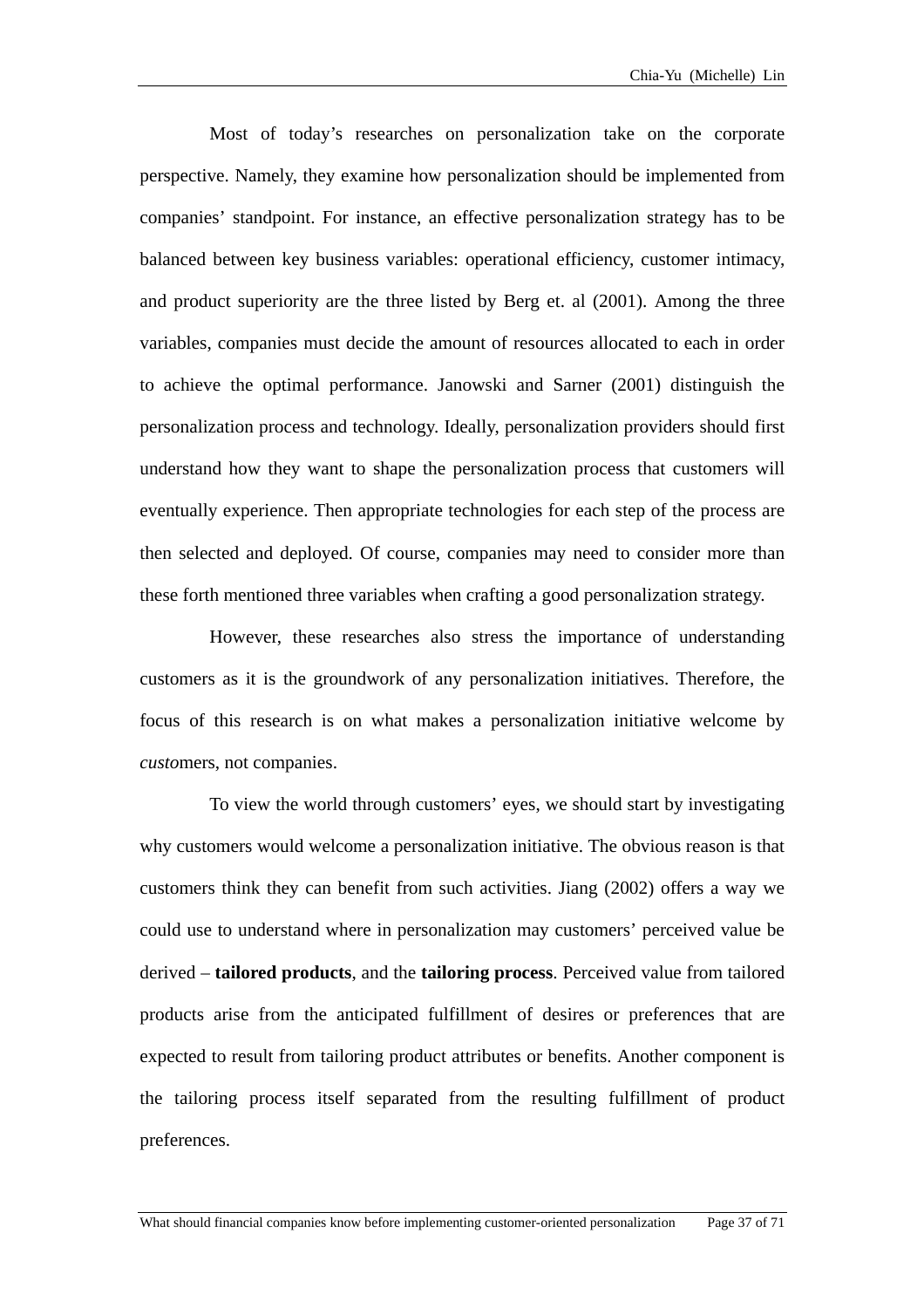Most of today's researches on personalization take on the corporate erspective. Namely, they examine how personalization should be implemented from p companies' standpoint. For instance, an effective personalization strategy has to be balanced between key business variables: operational efficiency, customer intimacy, and product superiority are the three listed by Berg et. al (2001). Among the three variables, companies must decide the amount of resources allocated to each in order to achieve the optimal performance. Janowski and Sarner (2001) distinguish the personalization process and technology. Ideally, personalization providers should first understand how they want to shape the personalization process that customers will eventually experience. Then appropriate technologies for each step of the process are then selected and deployed. Of course, companies may need to consider more than these forth mentioned three variables when crafting a good personalization strategy.

However, these researches also stress the importance of understanding customers as it is the groundwork of any personalization initiatives. Therefore, the focus of this research is on what makes a personalization initiative welcome by *custo*mers, not companies.

To view the world through customers' eyes, we should start by investigating why customers would welcome a personalization initiative. The obvious reason is that customers think they can benefit from such activities. Jiang (2002) offers a way we could use to understand where in personalization may customers' perceived value be derived – **tailored products**, and the **tailoring process**. Perceived value from tailored products arise from the anticipated fulfillment of desires or preferences that are expected to result from tailoring product attributes or benefits. Another component is the tailoring process itself separated from the resulting fulfillment of product preferences.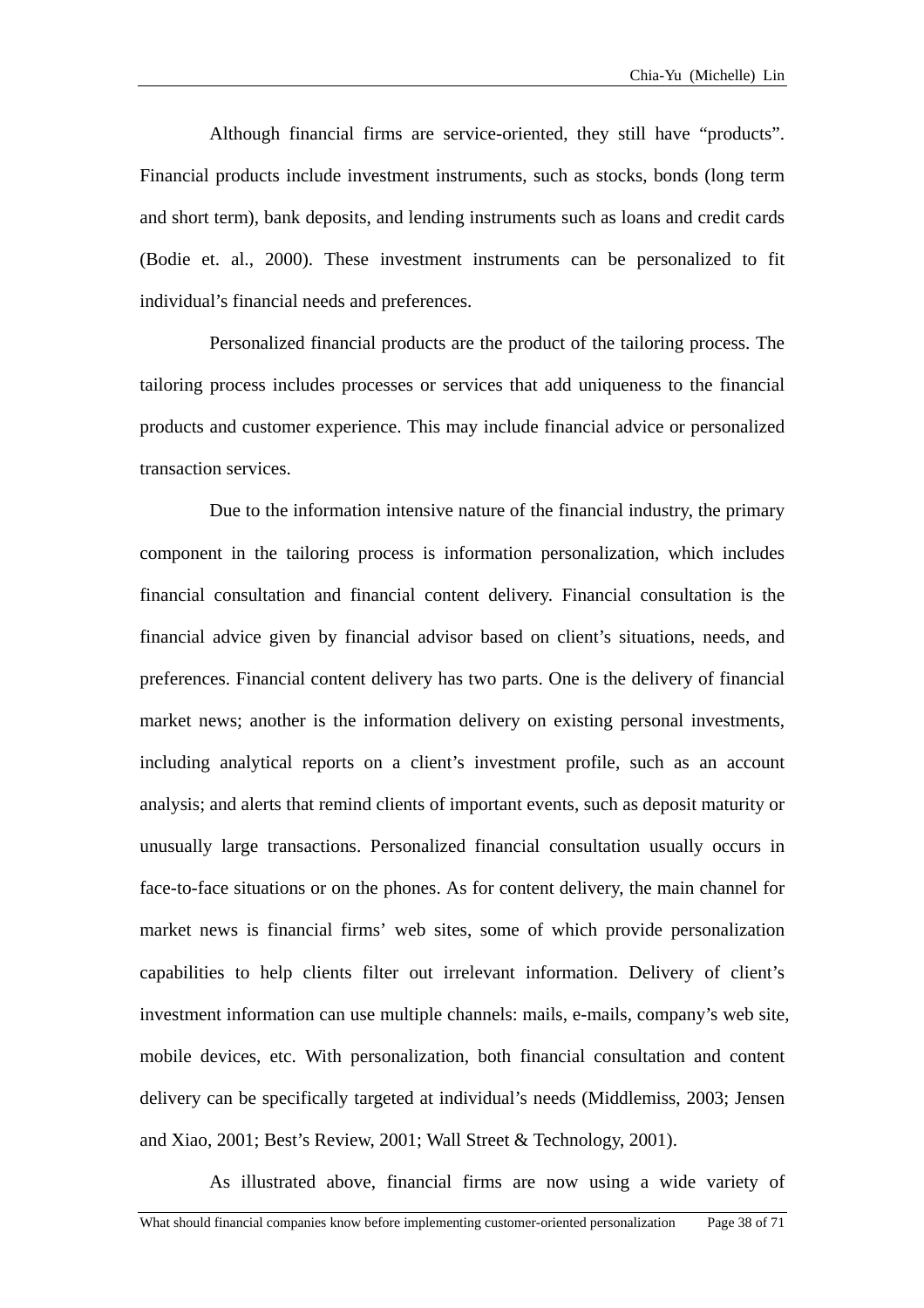Although financial firms are service-oriented, they still have "products". Financial products include investment instruments, such as stocks, bonds (long term and short term), bank deposits, and lending instruments such as loans and credit cards (Bodie et. al., 2000). These investment instruments can be personalized to fit individual's financial needs and preferences.

Personalized financial products are the product of the tailoring process. The tailoring process includes processes or services that add uniqueness to the financial products and customer experience. This may include financial advice or personalized transaction services.

Due to the information intensive nature of the financial industry, the primary component in the tailoring process is information personalization, which includes financial consultation and financial content delivery. Financial consultation is the financial advice given by financial advisor based on client's situations, needs, and including analytical reports on a client's investment profile, such as an account analysis; and alerts that remind clients of important events, such as deposit maturity or and Xiao, 2001; Best's Review, 2001; Wall Street & Technology, 2001). preferences. Financial content delivery has two parts. One is the delivery of financial market news; another is the information delivery on existing personal investments, unusually large transactions. Personalized financial consultation usually occurs in face-to-face situations or on the phones. As for content delivery, the main channel for market news is financial firms' web sites, some of which provide personalization capabilities to help clients filter out irrelevant information. Delivery of client's investment information can use multiple channels: mails, e-mails, company's web site, mobile devices, etc. With personalization, both financial consultation and content delivery can be specifically targeted at individual's needs (Middlemiss, 2003; Jensen

As illustrated above, financial firms are now using a wide variety of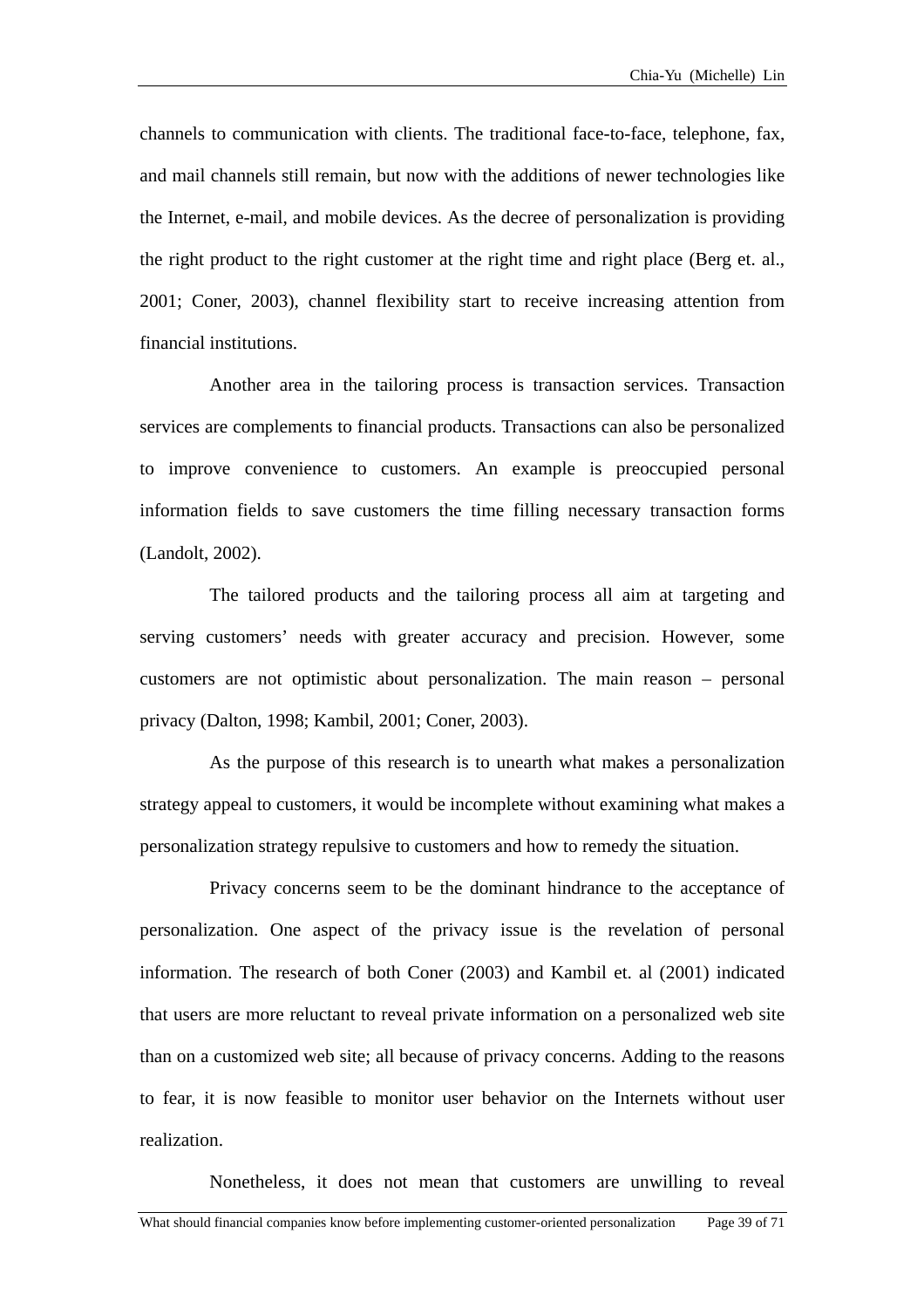channels to communication with clients. The traditional face-to-face, telephone, fax, 2001; Coner, 2003), channel flexibility start to receive increasing attention from financial institutions. and mail channels still remain, but now with the additions of newer technologies like the Internet, e-mail, and mobile devices. As the decree of personalization is providing the right product to the right customer at the right time and right place (Berg et. al.,

to improve convenience to customers. An example is preoccupied personal informat ion fields to save customers the time filling necessary transaction forms Another area in the tailoring process is transaction services. Transaction services are complements to financial products. Transactions can also be personalized (Landolt, 2002).

The tailored products and the tailoring process all aim at targeting and serving customers' needs with greater accuracy and precision. However, some customers are not optimistic about personalization. The main reason – personal privacy (Dalton, 1998; Kambil, 2001; Coner, 2003).

As the purpose of this research is to unearth what makes a personalization strategy appeal to customers, it would be incomplete without examining what makes a personalization strategy repulsive to customers and how to remedy the situation.

Privacy concerns seem to be the dominant hindrance to the acceptance of personalization. One aspect of the privacy issue is the revelation of personal information. The research of both Coner (2003) and Kambil et. al (2001) indicated that users are more reluctant to reveal private information on a personalized web site than on a customized web site; all because of privacy concerns. Adding to the reasons to fear, it is now feasible to monitor user behavior on the Internets without user realization.

Nonetheless, it does not mean that customers are unwilling to reveal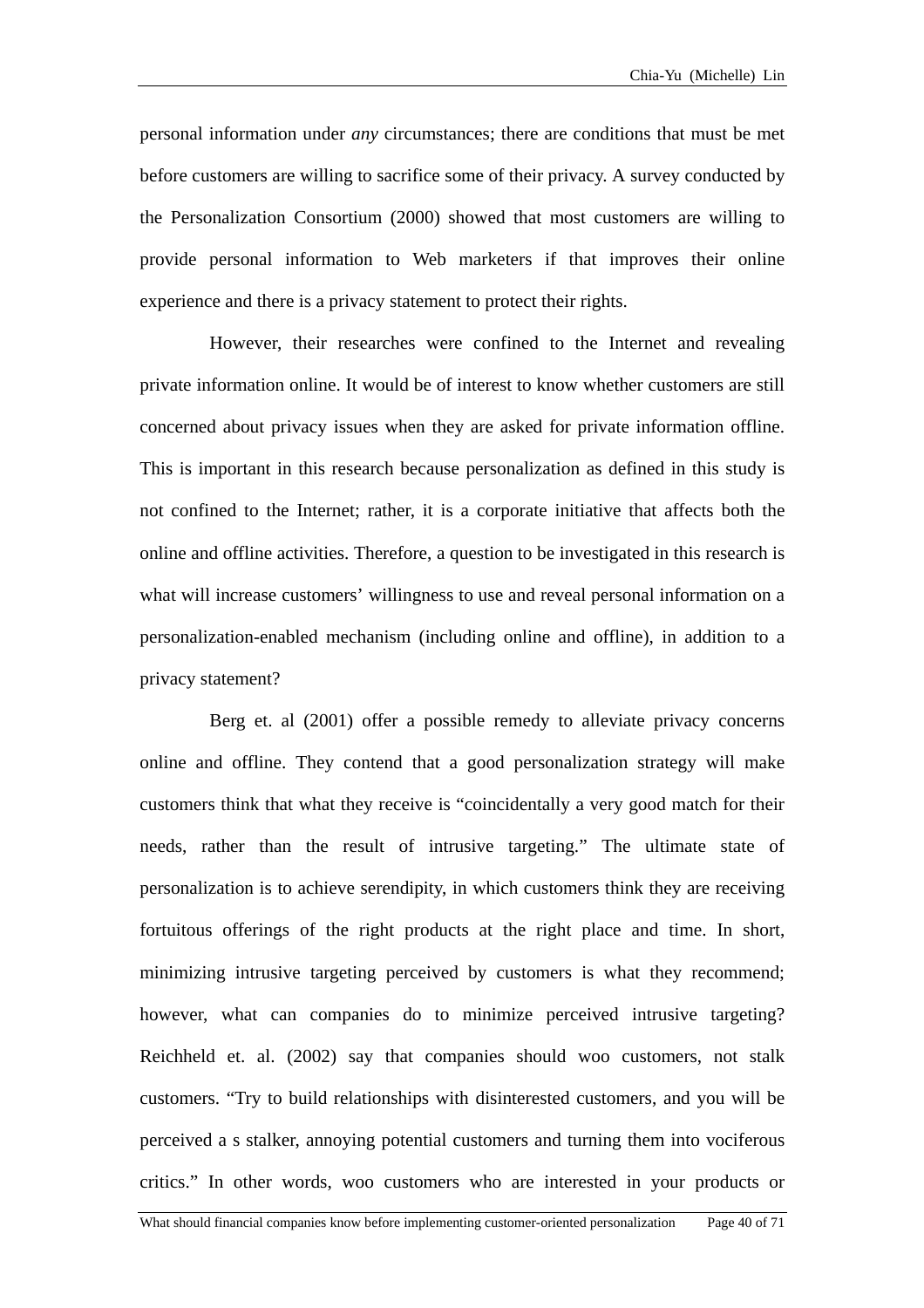personal information under *any* circumstances; there are conditions that must be met before customers are willing to sacrifice some of their privacy. A survey conducted by the Personalization Consortium (2000) showed that most customers are willing to provide personal information to Web marketers if that improves their online experience and there is a privacy statement to protect their rights.

However, their researches were confined to the Internet and revealing private in formation online. It would be of interest to know whether customers are still online and offline activities. Therefore, a question to be investigated in this research is what wil l increase customers' willingness to use and reveal personal information on a concerned about privacy issues when they are asked for private information offline. This is important in this research because personalization as defined in this study is not confined to the Internet; rather, it is a corporate initiative that affects both the personalization-enabled mechanism (including online and offline), in addition to a privacy statement?

Berg et. al (2001) offer a possible remedy to alleviate privacy concerns online a nd offline. They contend that a good personalization strategy will make needs, rather than the result of intrusive targeting." The ultimate state of personali zation is to achieve serendipity, in which customers think they are receiving perceived a s stalker, annoying potential customers and turning them into vociferous critics." In other words, woo customers who are interested in your products or customers think that what they receive is "coincidentally a very good match for their fortuitous offerings of the right products at the right place and time. In short, minimizing intrusive targeting perceived by customers is what they recommend; however, what can companies do to minimize perceived intrusive targeting? Reichheld et. al. (2002) say that companies should woo customers, not stalk customers. "Try to build relationships with disinterested customers, and you will be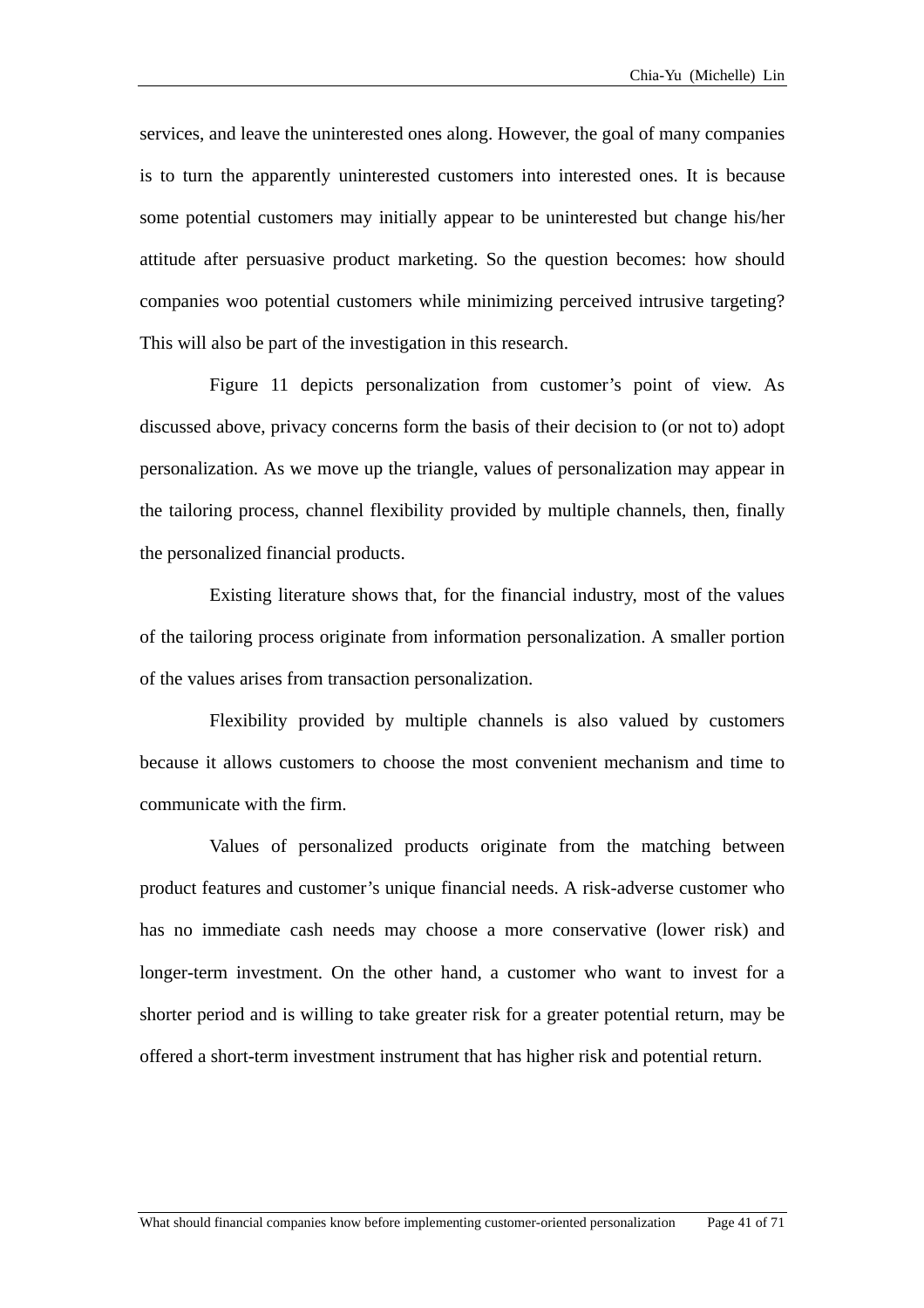services, and leave the uninterested ones along. However, the goal of many companies is to turn the apparently uninterested customers into interested ones. It is because some potential customers may initially appear to be uninterested but change his/her attitude after persuasive product marketing. So the question becomes: how should companies woo potential customers while minimizing perceived intrusive targeting? This will also be part of the investigation in this research.

Figure 11 depicts personalization from customer's point of view. As discussed above, privacy concerns form the basis of their decision to (or not to) adopt personalization. As we move up the triangle, values of personalization may appear in the tailoring process, channel flexibility provided by multiple channels, then, finally the personalized financial products.

of the values arises from transaction personalization. Existing literature shows that, for the financial industry, most of the values of the tailoring process originate from information personalization. A smaller portion

Flexibility provided by multiple channels is also valued by customers because it allows customers to choose the most convenient mechanism and time to communicate with the firm.

Values of personalized products originate from the matching between product features and customer's unique financial needs. A risk-adverse customer who has no immediate cash needs may choose a more conservative (lower risk) and longer-term investment. On the other hand, a customer who want to invest for a shorter period and is willing to take greater risk for a greater potential return, may be offered a short-term investment instrument that has higher risk and potential return.